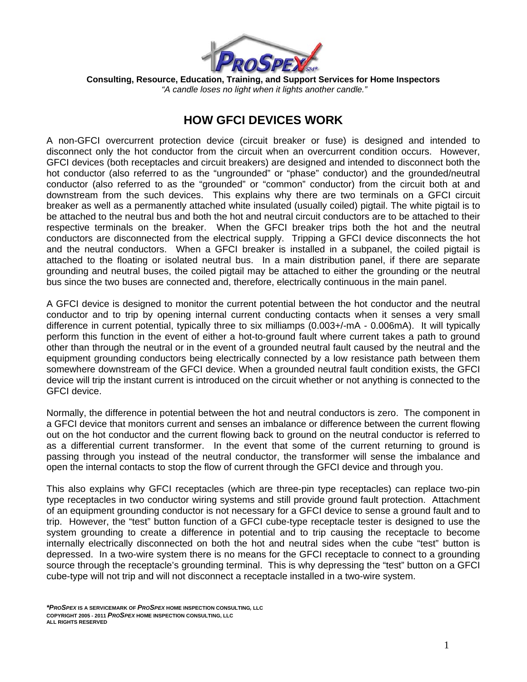

**Consulting, Resource, Education, Training, and Support Services for Home Inspectors**   *"A candle loses no light when it lights another candle."*

## **HOW GFCI DEVICES WORK**

A non-GFCI overcurrent protection device (circuit breaker or fuse) is designed and intended to disconnect only the hot conductor from the circuit when an overcurrent condition occurs. However, GFCI devices (both receptacles and circuit breakers) are designed and intended to disconnect both the hot conductor (also referred to as the "ungrounded" or "phase" conductor) and the grounded/neutral conductor (also referred to as the "grounded" or "common" conductor) from the circuit both at and downstream from the such devices. This explains why there are two terminals on a GFCI circuit breaker as well as a permanently attached white insulated (usually coiled) pigtail. The white pigtail is to be attached to the neutral bus and both the hot and neutral circuit conductors are to be attached to their respective terminals on the breaker. When the GFCI breaker trips both the hot and the neutral conductors are disconnected from the electrical supply. Tripping a GFCI device disconnects the hot and the neutral conductors. When a GFCI breaker is installed in a subpanel, the coiled pigtail is attached to the floating or isolated neutral bus. In a main distribution panel, if there are separate grounding and neutral buses, the coiled pigtail may be attached to either the grounding or the neutral bus since the two buses are connected and, therefore, electrically continuous in the main panel.

A GFCI device is designed to monitor the current potential between the hot conductor and the neutral conductor and to trip by opening internal current conducting contacts when it senses a very small difference in current potential, typically three to six milliamps (0.003+/-mA - 0.006mA). It will typically perform this function in the event of either a hot-to-ground fault where current takes a path to ground other than through the neutral or in the event of a grounded neutral fault caused by the neutral and the equipment grounding conductors being electrically connected by a low resistance path between them somewhere downstream of the GFCI device. When a grounded neutral fault condition exists, the GFCI device will trip the instant current is introduced on the circuit whether or not anything is connected to the GFCI device.

Normally, the difference in potential between the hot and neutral conductors is zero. The component in a GFCI device that monitors current and senses an imbalance or difference between the current flowing out on the hot conductor and the current flowing back to ground on the neutral conductor is referred to as a differential current transformer. In the event that some of the current returning to ground is passing through you instead of the neutral conductor, the transformer will sense the imbalance and open the internal contacts to stop the flow of current through the GFCI device and through you.

This also explains why GFCI receptacles (which are three-pin type receptacles) can replace two-pin type receptacles in two conductor wiring systems and still provide ground fault protection. Attachment of an equipment grounding conductor is not necessary for a GFCI device to sense a ground fault and to trip. However, the "test" button function of a GFCI cube-type receptacle tester is designed to use the system grounding to create a difference in potential and to trip causing the receptacle to become internally electrically disconnected on both the hot and neutral sides when the cube "test" button is depressed. In a two-wire system there is no means for the GFCI receptacle to connect to a grounding source through the receptacle's grounding terminal. This is why depressing the "test" button on a GFCI cube-type will not trip and will not disconnect a receptacle installed in a two-wire system.

*<sup>\*</sup>PROSPEX* **IS A SERVICEMARK OF** *PROSPEX* **HOME INSPECTION CONSULTING***,* **LLC COPYRIGHT 2005 - 2011** *PROSPEX* **HOME INSPECTION CONSULTING, LLC ALL RIGHTS RESERVED**